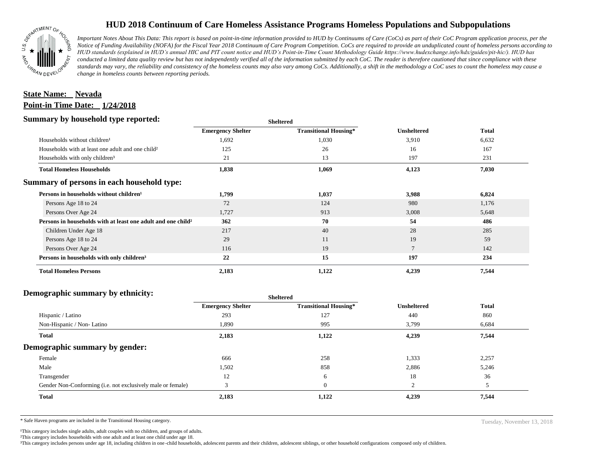

## **HUD 2018 Continuum of Care Homeless Assistance Programs Homeless Populations and Subpopulations**

*Important Notes About This Data: This report is based on point-in-time information provided to HUD by Continuums of Care (CoCs) as part of their CoC Program application process, per the Notice of Funding Availability (NOFA) for the Fiscal Year 2018 Continuum of Care Program Competition. CoCs are required to provide an unduplicated count of homeless persons according to HUD standards (explained in HUD's annual HIC and PIT count notice and HUD's Point-in-Time Count Methodology Guide https://www.hudexchange.info/hdx/guides/pit-hic/). HUD has conducted a limited data quality review but has not independently verified all of the information submitted by each CoC. The reader is therefore cautioned that since compliance with these*  standards may vary, the reliability and consistency of the homeless counts may also vary among CoCs. Additionally, a shift in the methodology a CoC uses to count the homeless may cause a *change in homeless counts between reporting periods.*

## **Point-in Time Date: 1/24/2018 State Name: Nevada**

### **Summary by household type reported:**

| . .                                                                      |                          | энскег са                    |                    |              |
|--------------------------------------------------------------------------|--------------------------|------------------------------|--------------------|--------------|
|                                                                          | <b>Emergency Shelter</b> | <b>Transitional Housing*</b> | <b>Unsheltered</b> | <b>Total</b> |
| Households without children <sup>1</sup>                                 | 1,692                    | 1,030                        | 3,910              | 6,632        |
| Households with at least one adult and one child <sup>2</sup>            | 125                      | 26                           | 16                 | 167          |
| Households with only children <sup>3</sup>                               | 21                       | 13                           | 197                | 231          |
| <b>Total Homeless Households</b>                                         | 1,838                    | 1,069                        | 4,123              | 7,030        |
| Summary of persons in each household type:                               |                          |                              |                    |              |
| Persons in households without children <sup>1</sup>                      | 1,799                    | 1,037                        | 3,988              | 6,824        |
| Persons Age 18 to 24                                                     | 72                       | 124                          | 980                | 1,176        |
| Persons Over Age 24                                                      | 1,727                    | 913                          | 3,008              | 5,648        |
| Persons in households with at least one adult and one child <sup>2</sup> | 362                      | 70                           | 54                 | 486          |
| Children Under Age 18                                                    | 217                      | 40                           | 28                 | 285          |
| Persons Age 18 to 24                                                     | 29                       | 11                           | 19                 | 59           |
| Persons Over Age 24                                                      | 116                      | 19                           | $\overline{ }$     | 142          |
| Persons in households with only children <sup>3</sup>                    | 22                       | 15                           | 197                | 234          |
| <b>Total Homeless Persons</b>                                            | 2,183                    | 1,122                        | 4,239              | 7,544        |

**Sheltered**

#### **Demographic summary by ethnicity:**

| ີ                                                           | Sneitered                |                              |                    |              |
|-------------------------------------------------------------|--------------------------|------------------------------|--------------------|--------------|
|                                                             | <b>Emergency Shelter</b> | <b>Transitional Housing*</b> | <b>Unsheltered</b> | <b>Total</b> |
| Hispanic / Latino                                           | 293                      | 127                          | 440                | 860          |
| Non-Hispanic / Non-Latino                                   | 1,890                    | 995                          | 3,799              | 6,684        |
| Total                                                       | 2,183                    | 1,122                        | 4,239              | 7,544        |
| Demographic summary by gender:                              |                          |                              |                    |              |
| Female                                                      | 666                      | 258                          | 1,333              | 2,257        |
| Male                                                        | 1,502                    | 858                          | 2,886              | 5,246        |
| Transgender                                                 | 12                       | 6                            | 18                 | 36           |
| Gender Non-Conforming (i.e. not exclusively male or female) | 3                        | $\overline{0}$               | $\overline{2}$     |              |
| Total                                                       | 2,183                    | 1,122                        | 4,239              | 7,544        |
|                                                             |                          |                              |                    |              |

**Sheltered**

\* Safe Haven programs are included in the Transitional Housing category.

<sup>1</sup>This category includes single adults, adult couples with no children, and groups of adults. ²This category includes households with one adult and at least one child under age 18.

³This category includes persons under age 18, including children in one -child households, adolescent parents and their children, adolescent siblings, or other household configurations composed only of children.

Tuesday, November 13, 2018